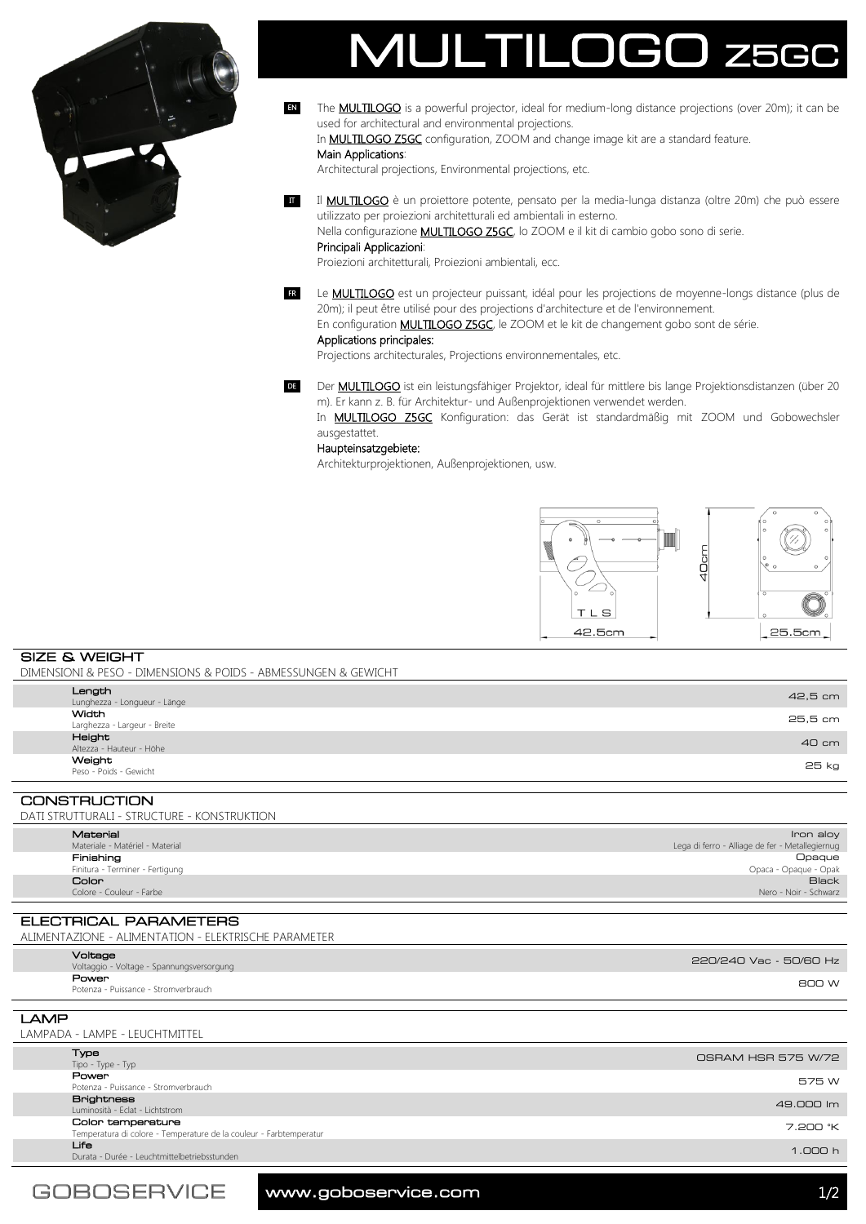

The **MULTILOGO** is a powerful projector, ideal for medium-long distance projections (over 20m); it can be used for architectural and environmental projections. EN

In **MULTILOGO Z5GC** configuration, ZOOM and change image kit are a standard feature.

## Main Applications:

Architectural projections, Environmental projections, etc.

II **MULTILOGO** è un proiettore potente, pensato per la media-lunga distanza (oltre 20m) che può essere utilizzato per proiezioni architetturali ed ambientali in esterno. Nella configurazione **MULTILOGO Z5GC**, lo ZOOM e il kit di cambio gobo sono di serie.

## Principali Applicazioni:

Proiezioni architetturali, Proiezioni ambientali, ecc.

Le **MULTILOGO** est un projecteur puissant, idéal pour les projections de moyenne-longs distance (plus de 20m); il peut être utilisé pour des projections d'architecture et de l'environnement. FR

En configuration **MULTILOGO Z5GC**, le ZOOM et le kit de changement gobo sont de série.

# Applications principales:

Projections architecturales, Projections environnementales, etc.

DE Der **MULTILOGO** ist ein leistungsfähiger Projektor, ideal für mittlere bis lange Projektionsdistanzen (über 20 m). Er kann z. B. für Architektur- und Außenprojektionen verwendet werden.

In **MULTILOGO Z5GC** Konfiguration: das Gerät ist standardmäßig mit ZOOM und Gobowechsler ausgestattet.

### Haupteinsatzgebiete:

Architekturprojektionen, Außenprojektionen, usw.



SIZE & WEIGHT DIMENSIONI & PESO - DIMENSIONS & POIDS - ABMESSUNGEN & GEWICHT

|                     | Length<br>Lunghezza - Longueur - Länge       | 42,5 cm |  |
|---------------------|----------------------------------------------|---------|--|
|                     | <b>Width</b><br>Larghezza - Largeur - Breite | 25,5 cm |  |
|                     | Height<br>Altezza - Hauteur - Höhe           | 40 cm   |  |
|                     | Weight<br>Peso - Poids - Gewicht             | 25 kg   |  |
|                     |                                              |         |  |
| <b>CONSTRUCTION</b> |                                              |         |  |

CONSTRUCTION DATI STRUTTURALI - STRUCTURE - KONSTRUKTION

| יוטוווטווניוטו בוטובטוונ בומוסדוטווניווט |                                 |                                                 |  |  |
|------------------------------------------|---------------------------------|-------------------------------------------------|--|--|
|                                          |                                 |                                                 |  |  |
|                                          | Material                        | Iron aloy                                       |  |  |
|                                          | Materiale - Matériel - Material | Lega di ferro - Alliage de fer - Metallegiernug |  |  |
|                                          | Finishing                       | Opaque                                          |  |  |
|                                          | Finitura - Terminer - Fertigung | Opaca - Opaque - Opak                           |  |  |
|                                          | Color                           | <b>Black</b>                                    |  |  |
|                                          | Colore - Couleur - Farbe        | Nero - Noir - Schwarz                           |  |  |
|                                          |                                 |                                                 |  |  |

ELECTRICAL PARAMETERS ALIMENTAZIONE - ALIMENTATION - ELEKTRISCHE PARAMETER

| Voltage                                   | 220/240 Vac - 50/60 Hz |
|-------------------------------------------|------------------------|
| Voltaggio - Voltage - Spannungsversorgung |                        |
| Power                                     |                        |
| Potenza - Puissance - Stromverbrauch      | 800 W                  |
|                                           |                        |

LAMP LAMPADA - LAMPE - LEUCHTMITTEL **Туре**<br>Tipo - Type - Typ Tipo - Type - Type - Type - Type - Type - Type - Type - Type - Type - Type - Type - Type - Type - Type - Type - Type - Type - Type - Type - Type - Type - Type - Type - Type - Type - Type - Type - Type - Type - Type - Type - Political - Stromverbrauch - Stromverbrauch - Stromverbrauch - Stromverbrauch - Stromverbrauch - STRS W<br>Potenza - Puissance - Stromverbrauch - Stromverbrauch - Stromverbrauch - Stromverbrauch - Stromverbrauch - Str Brightness Luminosità - Eclat - Lichtstrom 49.000 lm Color temperature Temperatura di colore - Temperature de la couleur - Farbtemperatur 7.200 °K en van die konstantielbetriebsstunden van die eerste verskeie van die eerste van die eerste verskeie van die e<br>Durata - Durée - Leuchtmittelbetriebsstunden van die eerste van die eerste van die eerste van die eerste van d

www.goboservice.com 1/2